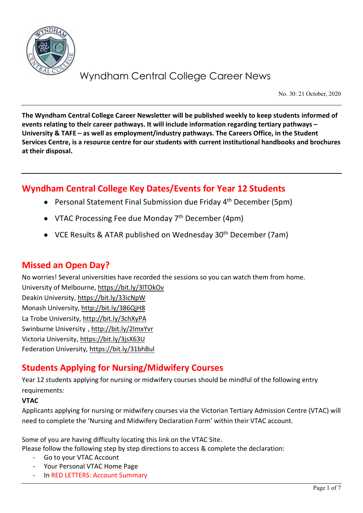

No. 30: 21 October, 2020

**The Wyndham Central College Career Newsletter will be published weekly to keep students informed of events relating to their career pathways. It will include information regarding tertiary pathways – University & TAFE – as well as employment/industry pathways. The Careers Office, in the Student Services Centre, is a resource centre for our students with current institutional handbooks and brochures at their disposal.**

## **Wyndham Central College Key Dates/Events for Year 12 Students**

- Personal Statement Final Submission due Friday 4<sup>th</sup> December (5pm)
- VTAC Processing Fee due Monday  $7<sup>th</sup>$  December (4pm)
- VCE Results & ATAR published on Wednesday 30<sup>th</sup> December (7am)

### **Missed an Open Day?**

No worries! Several universities have recorded the sessions so you can watch them from home. University of Melbourne,<https://bit.ly/3lTOkOv> Deakin University,<https://bit.ly/33icNpW> Monash University,<http://bit.ly/386QjH8> La Trobe University,<http://bit.ly/3chXyPA> Swinburne University ,<http://bit.ly/2ImxYvr> Victoria University,<https://bit.ly/3jsX63U> Federation University[, https://bit.ly/31bhBul](https://bit.ly/31bhBul)

## **Students Applying for Nursing/Midwifery Courses**

Year 12 students applying for nursing or midwifery courses should be mindful of the following entry requirements:

### **VTAC**

Applicants applying for nursing or midwifery courses via the Victorian Tertiary Admission Centre (VTAC) will need to complete the 'Nursing and Midwifery Declaration Form' within their VTAC account.

Some of you are having difficulty locating this link on the VTAC Site. Please follow the following step by step directions to access & complete the declaration:

- Go to your VTAC Account
- Your Personal VTAC Home Page
- In RED LETTERS: Account Summary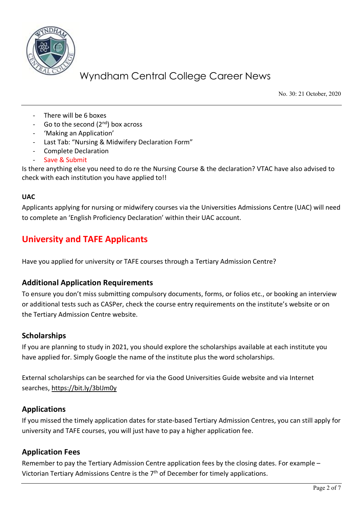

No. 30: 21 October, 2020

- There will be 6 boxes
- Go to the second  $(2^{nd})$  box across
- 'Making an Application'
- Last Tab: "Nursing & Midwifery Declaration Form"
- Complete Declaration
- Save & Submit

Is there anything else you need to do re the Nursing Course & the declaration? VTAC have also advised to check with each institution you have applied to!!

#### **UAC**

Applicants applying for nursing or midwifery courses via the Universities Admissions Centre (UAC) will need to complete an 'English Proficiency Declaration' within their UAC account.

## **University and TAFE Applicants**

Have you applied for university or TAFE courses through a Tertiary Admission Centre?

### **Additional Application Requirements**

To ensure you don't miss submitting compulsory documents, forms, or folios etc., or booking an interview or additional tests such as CASPer, check the course entry requirements on the institute's website or on the Tertiary Admission Centre website.

### **Scholarships**

If you are planning to study in 2021, you should explore the scholarships available at each institute you have applied for. Simply Google the name of the institute plus the word scholarships.

External scholarships can be searched for via the Good Universities Guide website and via Internet searches,<https://bit.ly/3bIJm0y>

### **Applications**

If you missed the timely application dates for state-based Tertiary Admission Centres, you can still apply for university and TAFE courses, you will just have to pay a higher application fee.

### **Application Fees**

Remember to pay the Tertiary Admission Centre application fees by the closing dates. For example – Victorian Tertiary Admissions Centre is the 7<sup>th</sup> of December for timely applications.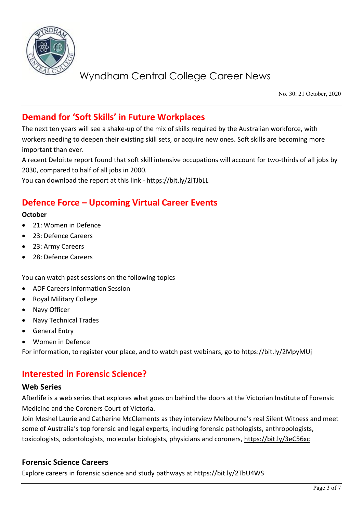

No. 30: 21 October, 2020

## **Demand for 'Soft Skills' in Future Workplaces**

The next ten years will see a shake-up of the mix of skills required by the Australian workforce, with workers needing to deepen their existing skill sets, or acquire new ones. Soft skills are becoming more important than ever.

A recent Deloitte report found that soft skill intensive occupations will account for two-thirds of all jobs by 2030, compared to half of all jobs in 2000.

You can download the report at this link - <https://bit.ly/2lTJbLL>

## **Defence Force – Upcoming Virtual Career Events**

#### **October**

- 21: Women in Defence
- 23: Defence Careers
- 23: Army Careers
- 28: Defence Careers

You can watch past sessions on the following topics

- ADF Careers Information Session
- Royal Military College
- Navy Officer
- Navy Technical Trades
- General Entry
- Women in Defence

For information, to register your place, and to watch past webinars, go to<https://bit.ly/2MpyMUj>

### **Interested in Forensic Science?**

#### **Web Series**

Afterlife is a web series that explores what goes on behind the doors at the Victorian Institute of Forensic Medicine and the Coroners Court of Victoria.

Join Meshel Laurie and Catherine McClements as they interview Melbourne's real Silent Witness and meet some of Australia's top forensic and legal experts, including forensic pathologists, anthropologists, toxicologists, odontologists, molecular biologists, physicians and coroners,<https://bit.ly/3eC56xc>

#### **Forensic Science Careers**

Explore careers in forensic science and study pathways at<https://bit.ly/2TbU4WS>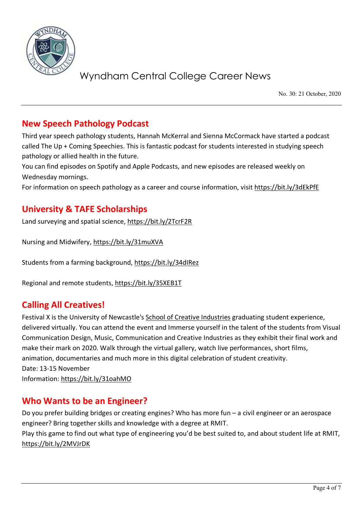

No. 30: 21 October, 2020

### **New Speech Pathology Podcast**

Third year speech pathology students, Hannah McKerral and Sienna McCormack have started a podcast called The Up + Coming Speechies. This is fantastic podcast for students interested in studying speech pathology or allied health in the future.

You can find episodes on Spotify and Apple Podcasts, and new episodes are released weekly on Wednesday mornings.

For information on speech pathology as a career and course information, visit<https://bit.ly/3dEkPfE>

### **University & TAFE Scholarships**

Land surveying and spatial science,<https://bit.ly/2TcrF2R>

Nursing and Midwifery,<https://bit.ly/31muXVA>

Students from a farming background,<https://bit.ly/34dIRez>

Regional and remote students,<https://bit.ly/35XEB1T>

### **Calling All Creatives!**

Festival X is the University of Newcastle's [School of Creative Industries](https://protect-au.mimecast.com/s/yhEtCGv0qnhW4JJhxSnM4?domain=futurestudents.cmail20.com) graduating student experience, delivered virtually. You can attend the event and Immerse yourself in the talent of the students from Visual Communication Design, Music, Communication and Creative Industries as they exhibit their final work and make their mark on 2020. Walk through the virtual gallery, watch live performances, short films, animation, documentaries and much more in this digital celebration of student creativity. Date: 13-15 November Information:<https://bit.ly/31oahMO>

### **Who Wants to be an Engineer?**

Do you prefer building bridges or creating engines? Who has more fun – a civil engineer or an aerospace engineer? Bring together skills and knowledge with a degree at RMIT. Play this game to find out what type of engineering you'd be best suited to, and about student life at RMIT, <https://bit.ly/2MVJrDK>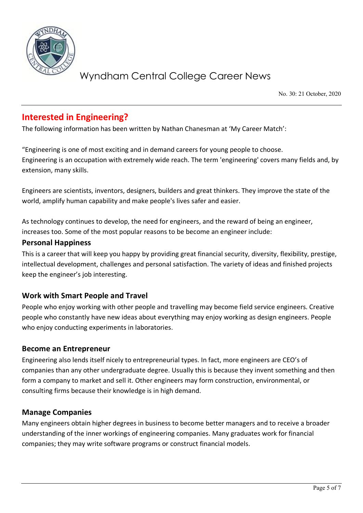

No. 30: 21 October, 2020

### **Interested in Engineering?**

The following information has been written by Nathan Chanesman at 'My Career Match':

"Engineering is one of most exciting and in demand careers for young people to choose. Engineering is an occupation with extremely wide reach. The term 'engineering' covers many fields and, by extension, many skills.

Engineers are scientists, inventors, designers, builders and great thinkers. They improve the state of the world, amplify human capability and make people's lives safer and easier.

As technology continues to develop, the need for engineers, and the reward of being an engineer, increases too. Some of the most popular reasons to be become an engineer include:

#### **Personal Happiness**

This is a career that will keep you happy by providing great financial security, diversity, flexibility, prestige, intellectual development, challenges and personal satisfaction. The variety of ideas and finished projects keep the engineer's job interesting.

### **Work with Smart People and Travel**

People who enjoy working with other people and travelling may become field service engineers. Creative people who constantly have new ideas about everything may enjoy working as design engineers. People who enjoy conducting experiments in laboratories.

### **Become an Entrepreneur**

Engineering also lends itself nicely to entrepreneurial types. In fact, more engineers are CEO's of companies than any other undergraduate degree. Usually this is because they invent something and then form a company to market and sell it. Other engineers may form construction, environmental, or consulting firms because their knowledge is in high demand.

### **Manage Companies**

Many engineers obtain higher degrees in business to become better managers and to receive a broader understanding of the inner workings of engineering companies. Many graduates work for financial companies; they may write software programs or construct financial models.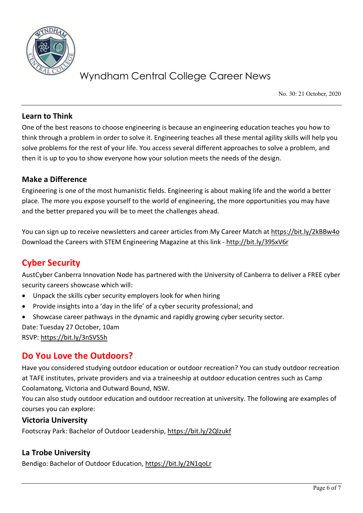

No. 30: 21 October, 2020

### **Learn to Think**

One of the best reasons to choose engineering is because an engineering education teaches you how to think through a problem in order to solve it. Engineering teaches all these mental agility skills will help you solve problems for the rest of your life. You access several different approaches to solve a problem, and then it is up to you to show everyone how your solution meets the needs of the design.

### **Make a Difference**

Engineering is one of the most humanistic fields. Engineering is about making life and the world a better place. The more you expose yourself to the world of engineering, the more opportunities you may have and the better prepared you will be to meet the challenges ahead.

You can sign up to receive newsletters and career articles from My Career Match at<https://bit.ly/2kBBw4o> Download the Careers with STEM Engineering Magazine at this link - <http://bit.ly/39SxV6r>

## **Cyber Security**

AustCyber Canberra Innovation Node has partnered with the University of Canberra to deliver a FREE cyber security careers showcase which will:

- Unpack the skills cyber security employers look for when hiring
- Provide insights into a 'day in the life' of a cyber security professional; and
- Showcase career pathways in the dynamic and rapidly growing cyber security sector.

Date: Tuesday 27 October, 10am

RSVP:<https://bit.ly/3nSVS5h>

### **Do You Love the Outdoors?**

Have you considered studying outdoor education or outdoor recreation? You can study outdoor recreation at TAFE institutes, private providers and via a traineeship at outdoor education centres such as Camp Coolamatong, Victoria and Outward Bound, NSW.

You can also study outdoor education and outdoor recreation at university. The following are examples of courses you can explore:

### **Victoria University**

Footscray Park: Bachelor of Outdoor Leadership,<https://bit.ly/2Qlzukf>

### **La Trobe University**

Bendigo: Bachelor of Outdoor Education,<https://bit.ly/2N1qoLr>